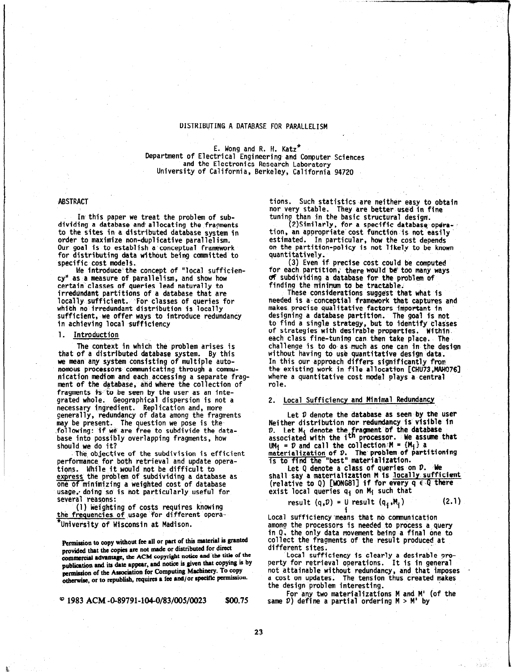## DISTRIBUTING A DATABASE FOR PARALLELISM

E. Wong and R. H. Katz\* Department of Electrical Engineering and Computer Sciences and the Electronics Research Laboratory University of California, Berkeley, California 94720

## ABSTRACT

In this paper we treat the problem of subdividing a database and allocating the fragments to the sites in a distributed database system in order to maximize non-duplicative parallelism. Our goal is to establish a'conceptual framework for distributing data without being camnitted to specific cost models.

We introduce the concept of "local sufficiency" as a measure of parallelism, and show how certain'classes of queries lead naturally to irredundant partitions of a database that are locally sufficient. For classes of queries for which no irredundant distribution is loca sufficient, we offer ways to introduce redundancy in achieving local sufficiency

#### 1. Introduction

The context in which the problem arises is that of a distributed database system. By this we mean any system consisting of multiple autonomous processors communicating through a communication mediom and each-accessing a separate fragment of the database, ahd where the collection of fragments is'to be seen by the user as an integrated whole. Geographical dispersion is not a necessary ingredient. Replication and, more generally, redundancy of data among the fragments may be present. The question we pose is the .following: if we are free to subdivide the database into possibly overlapping fragments, how should we do it?

The objective of the subdivision is efficient performance for both retrieval and update operations. While it would not be difficult to express the problem of subdividing a database as one of minimizing a weighted cost of database usage,, doing so is not particularly useful for several reasons:

(1) Weighting of costs requires knowing the frequencies of usage for different opera- \*University of Wisconsin at Madison.

Permission to copy without fee all or part of this material is granted provided that the copies are not made or distributed for direct commercial advantage, the ACM copyright notice and the title of the publication and its date appear, and notice is given that copying is by permission of the Association for Computing Machinery. To copy otherwise, or to republish, requires a fee and/or specific permission.

 $^{\circ}$  1983 ACM -0-89791-104-0/83/005/0023 \$00.75

tions. Such statistics are neither easy to obtain nor very stable. They are better-used in fine tuning than in the basic structural design.

(2)Similarly, for a specific database operation, an appropriate cost function is not easily estimated, In particular, how the cost depends on the partition-policy is not likely to be known quantitatively.

(3) Even if precise cost could be computed for each partition, there would be too many ways of subdividing a database for the problem of finding the minimum to be tractable.

These considerations suggest that what is needed is a'conceptial framework that captures and makes precise qualitative factors important in designing a database partition. The goal is not to find a single strategy, but to identify classes of strategies with desirable properties. Within. each class fine-tuning can then take place.. The challenge is to do,as much as one can in the design without having to use quantitative design data. In this our approach differs significantly from the existing work in file allocation [CHU73,MAHO761 where a quantitative cost model plays a central role.

## 2. Local Sufficiency and Minimal Redundancy

Let  $D$  denote the database as seen by the user Neither distribution nor redundancy is'visible in D. Let M<sub>i</sub> d, D. Let M<sub>i</sub> denote the fragment of the database<br>associated with the i<sup>th</sup> processor. We assume processor. We assume that  $UM_i = D$  and call the collection  $M = \{M_i\}$  a ma<u>terialization</u> of D. The problem of partition is to find the "best" materializat

Let  $Q$  denote a class of queries on  $D$ . We shall say a materialization M is locally sufficient (relative to Q) [WONG81] if for every  $q \in Q$  there exist local queries  $q_i$  on M<sub>i</sub> such that

result (q,D) = Y result (qi,Mi) (2.1)

Local sufficiency'means that no communication among the processors is needed to process a query in Q, the only data movement being a final one to collect the fragments of the result produced at different sites.

Local sufficiency is clearly a desirable oroperty for retrieval operations. It is in general not attainable without redundancy, and that imposes . a cost on updates. The tension thus created makes the design problem interesting.

For any two materializations M and M' (of the same  $D$ ) define a partial ordering  $M > M'$  by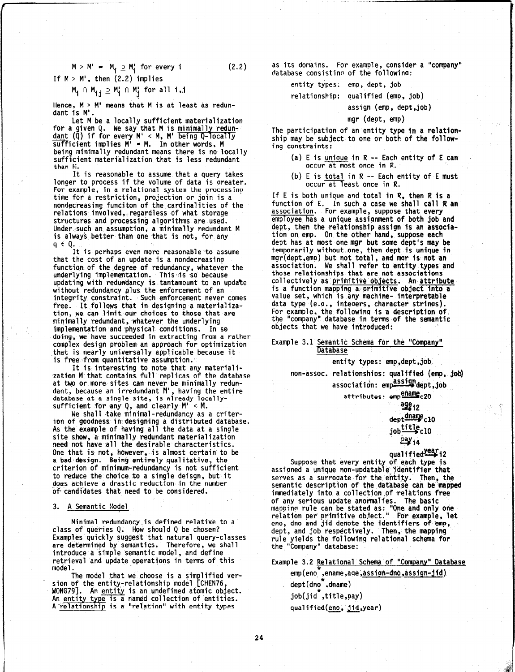$$
M > M' \Rightarrow M_i \supseteq M'_i \text{ for every } i \qquad (2.2)
$$

If  $M > M'$ , then  $(2.2)$  implies

$$
M_{\mathbf{i}} \cap M_{\mathbf{i}\,\mathbf{j}} \supseteq M_{\mathbf{i}}^{\prime} \cap M_{\mathbf{j}}^{\prime} \text{ for all } \mathbf{i}, \mathbf{j}
$$

Hence,  $M > M'$  means that M is at least as redundant is M'.

Let M be a locally sufficient materialization for a given Q. We say that M is minimally redun dant (Q) if for every M' < M, M' being sufficient implies M' = M. In other words, M being minimally redundant means there is no locally sufficient materialization that is less redundant than N.

It is reasonable to assume that a query takes longer to process if the volume of data is oreater. For example, in a relational system the processing time for a restriction, projection or join is a nondecreasing funciton of the cardinalities of the relations involved, regardless of what storage structures and processing algorithms are used. Under such an assumption, a minimally redundant M is always better than one that is not, for any  $q \in Q$ .

It is perhaps even more reasonable to assume that the cost of an update is a nondecreasinp function of the degree of redundancy, whatever the underlying implementation. This is so because updating with redundancy is tantamount to an update without redundancy plus the enforcement of an integrity constraint. Such enforcement never comes free. It follows that in designing a materialization, we can limit our choices to those that are minimally redundant, whatever the underlying implementation and physical conditions. In so doing, we have succeeded in extracting from a rather complex design problem an approach for optimization that is nearly universally applicable because it is free-from quantitative assumption.

It is interesting to note that any material ,zation M that contains full replicas of the database at two or more sites can never be minimally redun dant, because an irredundant M', having the entir database at a single site, is already locall sufficient for any  $Q$ , and clearly  $M' < M$ .

We shall take minimal-redundancy as a criterion of goodness in designing a distributed database As the example of having all the data at a singl site show, a minimally redundant materialization need not have all the desirable characteristics. One that is not, however, is almost certain to be a bad.design. Being entirely qualitative, the criterion of minimum-redundancy is not sufficient to reduce the choice to a single deisgn, but it does achieve a drastic reduction in the number of candidates that need to be considered.

## 3. A Semantic Model

Minimal redundancy.is defined relative to a class of queries 9. How should Q be chosen? Examples quickly suggest that natural query-classes are determined by semantics. Therefore, we shall introduce a simple semantic model, and define retrieval and update operations in terms of this model.

The model that we choose is a simplified ver- $\blacksquare$  sion of the entity-relationship model [CHEN76, WONG79]. An entity is an undefined atomic object. An entity type is a named collection of entiti Arelationship is a "relation" with entity types

as its domains. For example, consider a "company" database consistino of the followino:

entity types: emp, dept, job

relationship: qualified (emp, job)

assign (emp, dept,job)

mgr (dept, emp)

The participation of an entity type in a relationship may be subject to one or both of the following constraints:

- (a) E is unioue in R -- Each entity of E can occur at most once in R.
- (b) E is total in R -- Each entity of E must  $occur$  at least once in  $R$ .

If E is both unique and total in  $R$ , then  $R$  is a function of E. In such a case we shall call R an association. For example, suppose that every employee has a unique assignment of both job and dept, then the relationship assign is an association on emp. On the other hand, suppose each dept has at most one mgr but some dept's may be temporarily without,one, then dept is unique in mgr(dept,emp) but not total, and rnor is not an association. We shall refer to entity types and those relationships that are not associations collectively as primitive objects. An attribute is a function mapping a primitive object into a value set, which is any machine- interpreta data type (e.g., inteoers, character strings). For example, the following is 'a description of, the "company" database in terms of the semantic objects that we have introduced:

Example 3.1 Semantic Schema for the "Company" **Database** 

non-assoc. relationships: qualifted (emp, job)

association: empassigndept,job

attributes: emp

entity types: emp,dept,job

$$
\frac{\text{age}}{\text{dept} \cdot \text{dname}} \text{10}
$$
\n
$$
\frac{\text{time} \cdot \text{10}}{\text{poly} \cdot \text{14}}
$$

# qualified<sup>year</sup>i2

Suppose that every entity of each type is assioned a unique non-updatable identifier that serves as a surrooate for the entity. Then, the semantic description of the database can be'mapped immediately into a collection.of relations free of any serious update anormalies. The basic mappinn rule can be stated as: "One and only one relation per primitive object." For example, let eno, dno and jid denote the identifiers of-emp, dept, and job respectively. Then, the mapping rule yields the followinq relational schema for the."Company" database:

Example 3.2 Relational Schema of "Company" Database emp(eno ,ename,aqe,assign-dno,assi dept(dno ,dnam job(jid\*,title,pay) qualified(<u>eno, jid,</u>year)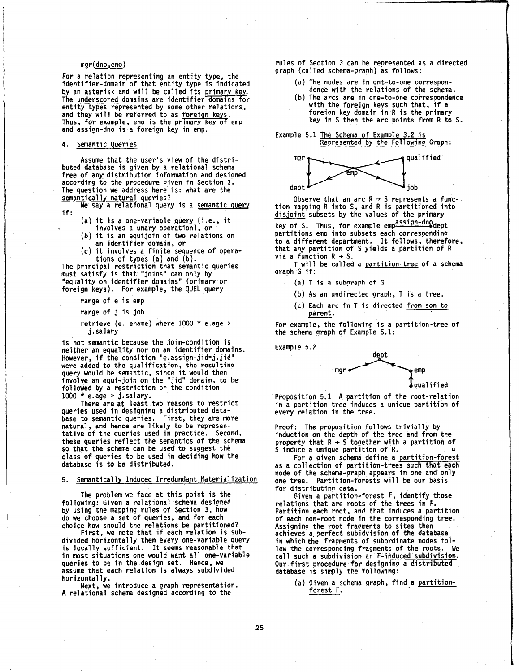## mgr(dno,eno)

For a relation representing an entity type, the identifier-domain of that entity type is indicate by an asterisk and will be called its primar<u>y ke</u>y The <u>underscored</u> domains are identifier domains for entity types represented by some other relations, and they will be referred to as for<u>eign keys</u>. Thus, for example, eno is the primary key of emp and assign-dno is a foreign key in emp.

## 4. Semantic Queries

Assume that the user's view of the distributed database is given by a relational schema free of any: distribution information and desipned according to the procedure given in Section 3. The question we address here is: what are the semantically natural queries?

We say a relational query is a semantic query if:

- (a) it is a one-variable query (i.e., it
- involves a unary operation), or (b) it is an equijoin of two relations on

an identifier domain, or (c) it involves a finite sequence of opera-

tions of types (a) and (b).

The principal restriction that semantic queries must satisfy is that "joins" can only by "equality on identifier domains" (primary or foreign keys). For example, the QUEL query

range of e is emp

range of j is job

retrieve (e. ename) where 1000 \* e.age > j.salary

is not semantic because the join-condition is neither an equality nor on an identifier domains. However, if the condition "e.assign-jid=j.jid" were added to the qualification, the resultino query would be semantic, since it would then involve an equi-join on the "jid" domain, to be followed by a restriction on the conditio  $1000 * e.age > j.salary.$ 

There are at least two reasons to restrict queries used in designing a distributed database to semantic queries. First, they are more natural, and hence are likely to be representative of the queries used in practice. Second, these queries reflect the semantics of the schema so that the schema can be used to suggest the class of queries to be used in deciding how the database is to be distributed.

#### 5. Semantically Induced Irredundant Materialization

The problem we face at this point is the following: Given a relational schema designed by using the mapping rules of Section 3, how do we choose a set of queries, and for each choice how should the relations be partitioned?

First, we note that if each relation is subdivided horizontally then every one-variable query is locally sufficient. It seems reasonable that in most situations one would want all one-variable queries to be in the design set. Hence, we assume that each relation is always subdivided horizontally.

Next, we introduce a graph representation. A relational schema designed according to the

rules of Section 3 can be represented as a directed graph (called schema-graph) as follows:

- (a) The nodes are in ont-to-one correspondence with the relations of the schema.
- (b) The arcs are in one-to-one correspondence with the foreign keys such that, if a foreion key domain in R is the primary key in S then the arc points from R to S.

Example 5.1 The Schema of Example'3.2 is Represented by the Followinp Graph:



Observe that an arc R  $\div$  S represents a func tion mapping R into S, and R is partitioned into disjoint subsets by the values of the primary

key of S. Thus, for example empassign-dnodept partitions emp into subsets each correspondino to a different department. It follows, therefore, that any partition of S yields a partition of R via a function  $R \rightarrow S$ .

T will be called a partition-tree of a schema araph G if:

- $(a)$  T is a subgraph of G
- (b) As an undirected graph, T is a tree.
- $(c)$  Each arc in T is directed from son to. parent.

For example, the following is a partition-tree of the schema graph of Example 5.1:

Example 5.2



Proposition 5.1 A partition of the root-relation in a partition tree induces a unique partition of every relation in the tree.

Proof: The proposition follows trivially by induction on the depth of the tree and from the property that  $R \rightarrow S$  together with a partition of S induce a unique partition of R.

For a given schema define a partition-forezt as a collection of partition-trees such that each node of the schema-praph appears in one and only one tree. Partition-forests will be our basis for distributing data.

Given a partition-forest F, identify those relations that are roots of the trees in F. Partition each root, and that induces a partition of each non-root node in the corresponding tree. Assigning the root fraoments to sites then achieves a perfect subidvision of the database in which the fragments of subordinate nodes follow the corresponding fragments of the roots. We call such a subdivision an F-induced subdivision. Our first procedure for designing a distributed database is simply the following:

> (a) Given a schema graph, find a partitionforest F.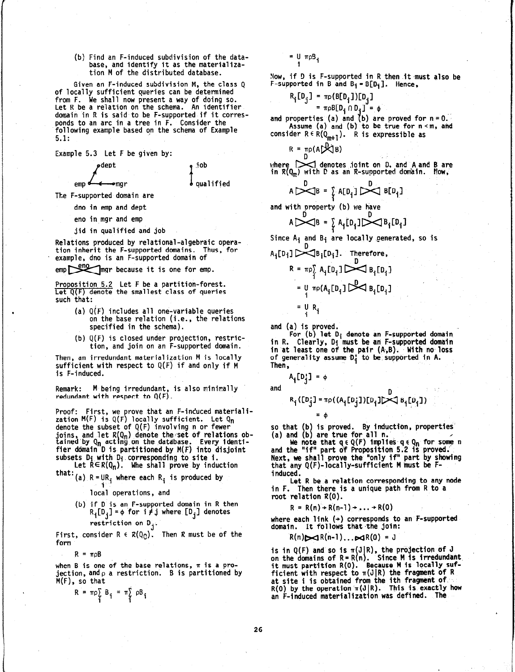#### (b) Find an F-induced subdivision of the database, and identify it as the materialization M of the distributed database.

Given an F-induced subdivision M, the class Q of locally sufficient queries can be determined from F. We shall now present a way of doing so. Let R be a relation on the schema. An identifier domain in R is said to be F-supported if it corresponds to an arc in a tree in F. Consider the following example based on the schema of Example 5.1:

Example 5.3 Let F be given by:

emar

dept

emp<del>d com</del>gre job  $\pmb{b}$  qualified

The F-supported domain are

- dno in emp and dept
- eno in mgr and emp
- jid in qualified and job

Relations produced by relational-algebraic operation inherit the F-supported domains. Thus, for example, dno is an F-supported domain of

emp mgr because it is one for emp.

Proposition 5.2 Let F be a partition-fo Let  $\mathtt{Q}(\mathtt{F})$  denote the smallest class of querie such that:

- (a) Q(F) includes all one-variable queries on the base relation (i.e., the relations specified in the schema).
- (b) Q(F) is closed under projection, restriction, and join on an F-supported domain.

Then, an irredundant materialization M is locally sufficient with respect to  $Q(F)$  if and only if  $M$ is F-induced.

Remark: M being irredundant, is also minimally redundant with respect to Q(F).

Proof: First, we prove that an F-incuced materia zation M(F) is Q(F) locally sufficient. Let Q<sub>n</sub> denote the subset of Q(F) involving n or fewer joins, and let  $R(Q_n)$  denote the set of relations obtained by Q<sub>n</sub> acting on the database. Every ident fier domain D is partitioned by M(F) into disjoi subsets D<sub>j</sub> with D<sub>j</sub> corresponding to site i.

Let  $R \in R(Q_n)$ . Whe shall prove by induction

- that:  $(a)$  R = UR<sub>i</sub> where each R<sub>i</sub> is produced by
	- local operations, and
	- (b) if 0 is an F-supported domain in R then  $R_i[D_i] = \phi$  for  $i \neq j$  where  $[D_i]$  denotes restriction on D<sub>j</sub>.

First, consider  $R \in R(Q_{\mathbb{C}})$ . Then R must be of the form

 $R = \pi \rho B$ 

when B is one of the base relations,  $\pi$  is a projection, and  $\rho$  a restriction.  $\,$  B is partitioned by M(F), so that

$$
R = \pi \rho \sum_{i} B_{i} = \pi \sum_{i}^{'} \rho B_{i}
$$

= U πρB<u>.</u> i

Now, if D is F-supported in R then it must also be F-supported in B and  $B_i=B[D_i]$ . Hence,

$$
R_i[D_j] = \pi_P(B[D_i]) [D_j]
$$
  
=  $\pi_P B[D_i \cap D_i] = \phi$ 

and properties (a) and (b) are proved for n=0.<br>-- Assume (a) and (b) to be true for n<m, and consider  $R \in R(Q_{m+1})$ . R is expressible as

$$
R = \text{mo}(A \times B)
$$

where  $\triangleright$  denotes joint on D, and A and B are in  $R(Q_m)$  with D as an R-supported domain. Now,

$$
A \bigcup_{D} B = \sum_{i} A[D_i] \bigcup_{D} B[D_i]
$$

and with property (b) we have

$$
A \sim B = \sum A_i [D_i] \sim B_i [D_i]
$$

Since  $A_i$  and  $B_i$  are locally generated, so is

$$
A_{i}[D_{i}] \sum_{i=1}^{D} B_{i}[D_{i}]. \text{ Therefore,}
$$
\n
$$
R = \pi \rho_{i}^{S} A_{i}[D_{i}] \sum_{i=1}^{D} B_{i}[D_{i}]
$$
\n
$$
= \mu \pi \rho (A_{i}[D_{i}] \sum_{i=1}^{D} B_{i}[D_{i}]
$$
\n
$$
= \mu R_{i}
$$

and (a) is proved.

in R. Clearly, Oi must be an F-supported domain For  $(b)$  let  $D_i$  denote an F-supported domain in at least one of the pair (A,B). With no los of generality assume.0; to be supported in A. Then,

A<sub>i</sub>[D¦] = φ

=Q

and  
\n
$$
R_i([D_j] = \pi_P((A_i[D_j])[D_i] \times B_i[D_i])
$$

so that (b) is proved. By induction, properties (a) and (b) are true for all n.

We note that  $q\in Q(F)$  implies  $q\in Q_{\mathbf{p}}$  for some n and the "if" part of Proposition 5.2 is proved.;' Next, we shall prove the "only if" part by showing that any Q(F)-locally-sufficient M must be Finduced.

Let R be a relation corresponding to any node in F. Then there is a unique path from R to a root relation R(0).

 $R = R(n) + R(n-1) + ... + R(0)$ 

where each link  $(+)$  corresponds to an F-supported domain. It follows that the join:

 $R(n)$  $\triangleright$ d $R(n-1)$ ... $\triangleright$ d $R(0) = J$ 

is in Q(F) and so is  $\pi(\mathrm{J}|\mathrm{R})$ , the projection of J on the domains of R=R(n). Since M is irredunda it must partition R(0). Because M is locally sufficient with respect to  $\pi(\mathsf{J}|\mathsf{R})$  the fragment of  $\mathsf{R}$ at site i is obtained from the ith fragment Of'  $R(0)$  by the operation  $\pi(J|R)$ . This is exactly how an F-induced materialization was defined. The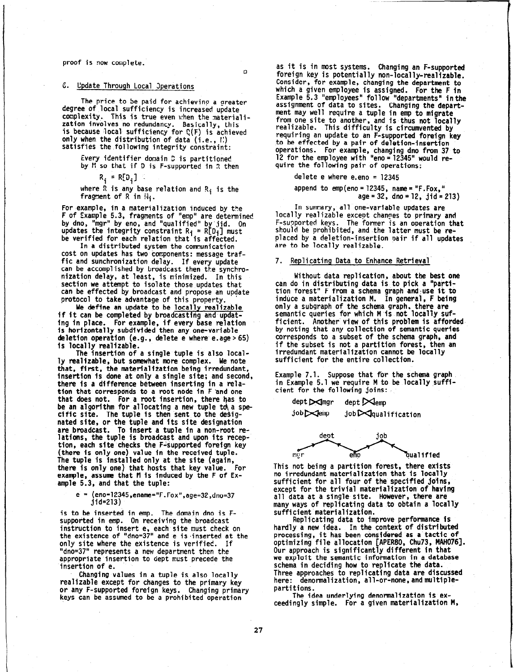#### proof is now complete.

 $\Omega$ 

## 6. Update Through Local Operations

The price to be paid for achieving a greate degree of local sufficiency is increased update complexity. This is true even when the materialization involves no redundancy. Basically, this is because local sufficiency for  $Q(F)$  is achieved only when the distribution of data (i.e., I:) satisfies the.following integrity constraint:

Every identifier domain S is partitioned by M so that if D is F-supported in R then

 $R_i = R[D_i]$ 

where  $\bar{R}$  is any base relation and  $R_i$  is the fragment of  $R$  in  $W_i$ .

For example, in a materialization induced by the F of Example 5.3, fragments of "emp" are determined by dno, "mgr" by eno, and "qualified" bv'iid. On updates the integrity constraint  $R_i$  =  $R[D_i]$  must be verified for each relation that is affecte

In a distributed system the communication cost on updates has two components: message traffic and sunchronization delay. If every update can be accomplished by broadcast then the synchronization delay, at least, is minimized. In this section we attempt to isolate those updates that can be effected by broadcast and propose an update protocol to take advantage of this property.

We define an update to be locally realizable if it can be completed by broadcasting and updating in place. For example, if every base relatio is horizontally subdivided then any one-variable deletion operation  $(e.g., define the number  $e.age > 65$ )$ is locally realizable.

The insertion of a single tuple is also locally realizable, but somewhat more complex. We note that, first, the materialization being irredundant, insertion is done at only a single site; and second, there is a difference between inserting in a relation that corresponds to a root node in F 'and one that does not. For a root insertion, there has to be an algorithm for allocating a new tuple to a specific site. The tuple is then sent to the desig nated site, or the tuple and its site designation are broadcast. To insert a tuple in a non-root relations, the tuple is broadcast and upon its reception, each site checks the F-supported foreign key (there is only one) value in the received tuple. The tuple is installed only at the site (again, there is only one) that hosts that key value. For example, assume that fl is induced by the F of Example 5.3, and that the tuple:

#### e = (eno=12345,ename="F.Fox",age=32, 1=

is to be inserted in emp. The domain dno is Fsupported in emp. On receiving the broadcast instruction to insert e, each site must check on the existence of "dno=37" and e is .inserted at the only site where the existence is verified. If "dno=37" represents a new department then the appropriate insertion to dept must precede the insertion of e.

Changing values in a tuple is also locally realizable except for changes to the primary key or any F-supported foreign keys. Changing primary keys can be assumed to be a prohibited operation

as it is in most systems. Changing an F-supported foreign key is potentially non-locally-realizable. Consider, for example, changing the department to which a given employee is assigned. For the F in Example 5.3 "employees" follow "departments" inthe assignment of data to sites. Changing the department may well require a tuple in emp to migrate from one site to another, and is thus not local realizable. This difficulty is circumvented by requiring an update to an F-supported foreign key to be effected by a pair of deletion-insertion operations. For example, changing dno from 37 to 12 for the employee with "eno=12345" would require the following pair of operations:

delete e where e.eno = 12345

append to  $emp(eno = 12345, name = "F.Fox,"$  $age = 32$ , dno = 12, jid = 213)

In summary, all one-variable updates are locally realizable except changes to primary and F-supported kevs. The former is an oneration that should be prohibited, and the latter must be replaced by a deletion-insertion pair if all updates are to be locally realizable.

## 7. Replicating Data to Enhance Retrieval

Without data replication, about the best one can do in distributing data is to pick a "partition forest" F from a schema graph and use it to induce a materialization M. In general, F being only a subgraph of the schema graph, there-are semantic queries for which M is not locally sufficient. Another view of this problem is affordedby noting that any collection of semantic queries corresponds to a subset of the schema graph, and if the subset is not a partition forest, then an irredundant materialization cannot be locally sufficient for the entire collection.

Example 7.1. Suppose that for the schema graph in Example 5.1 we require M to be locally sufficient for the following joins:

 $\text{depth} \rightarrow \text{depth} \rightarrow \text{depth}$ 

 $j$ ob $\bowtie$ emp job $\bowtie$ qualification



This not being a partition forest, there exists no irredundant materialization that is locally sufficient for all four of the specified joins, except for the trivial materialization of having all data at a single site. However, there are many ways of replicating data to obtain a locally sufficient materialization.

Replicating data to improve performance Is hardly a new idea. In the context of distributed processing, it has been considered as a tactic of optimizing file allocation [APER%O, Chu73, MAH076]. Our approach is significantly different in that we exploit the semantic information in a databas schema in deciding how to replicate the data. Three approaches to replicating data are discussed here: denormalization, all-or-none, and multiplepartitions.

The idea underlying denormalfzatfon is exceedingly simple. For a given materialization M,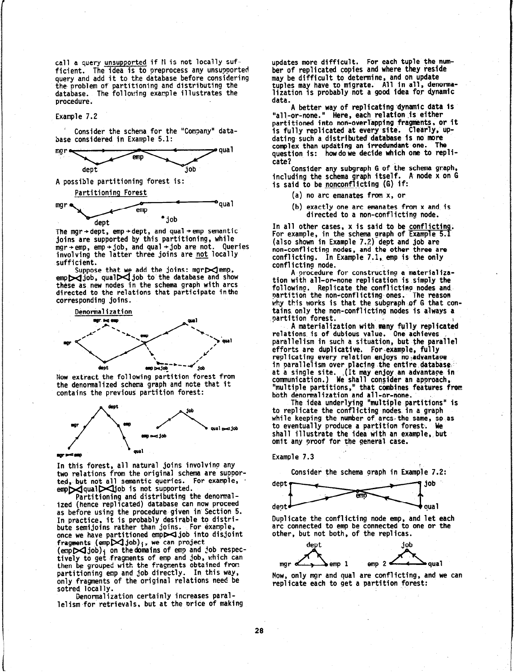call a query <u>unsupported</u> if N is not locally suf- updates more difficult. For each tuple the num-<br>ficient. The idea is to preprocess any unsupported ber of replicated copies and where they reside ficient. The idea is to preprocess any unsupported query and add it to the database before considering the problem of partitioning and distributing the tuples may have to migrate. All in all, denorma-<br>database. The following example illustrates the lization is probably not a good idea for dynamic database. The following example illustrates the lization is procedure. procedure.

Example 7.2

Consider the schema for the "Company" database considered in Example 5.1:



A possible partitioning forest is:



The mgr + dept, emp + dept, and qual + emp semantic joins are supported by this partitioning, while mgr+emp, emp+job, and qual+job are not. Queries involving the latter three joins are <u>not</u> local sufficient.

Suppose that we add the joins: mgr $\blacktriangleright$  em emp $\bowtie$ job, qual $\bowtie$ job to the database and show these as new nodes in the schema graph with arcs directed to the relations that participate inthe corresponding joins.



Now extract the following partition forest from the denormalized schema graph and note that it contains the previous partition forest:



In this forest, all natural joins involving any two relations from the original schema are supported, but not all semantic queries. For example,  $emp$ qual $\bowtie$ job is not supported.

Partitioning and distributing the denormalized (hence replicated) database can now proceed as before using the procedure given in Section 5. In practice, it is probably desirable to dist bute semijoins rather than joins. For example, once we have partitioned emp $\geq$ job into disjoint fragments  $(emp \times job)_i$ , we can project (emp $\blacktriangleright$  job) $_{\rm i}$  on the domains of emp and job respec tively to get fragments of emp and job, which can then be grouped with the fragments obtained fron partitioning emp and job directly. In this way, only fragments of the original relations need be sotred locally.

Denormalization certainly increases parallelism.for retrievals, but at the price of making may be difficult to determine, and on update<br>tuples may have to migrate. All in all, denorma-

A better way of replicating dynamic data is "all-or-none." Here, each relation,is either partitioned into non-overlapping fragments, or it is fully replicated at every site. Clearly, updating such a distributed database is no more<br>complex than undating an irredundant one. The complex than updating an irredundant one. qual question is: how do we decide which one to replicate?

Consider any subgraph G of the schema graph, including the schema graph itself. A node x on G is said to be <u>noncontlicting</u> (G) if

- (a) no arc emanates from x. or
- (b) exactly one arc emanates from x and is directed to a non-conflicting node.

In all other cases, **x** is said to be <u>conflict</u> For example, in the schema graph of Example 5.1 (also shown in Example /.?) dept and job ar non-conflicting nodes, and the other three are conflicting. In Example 7.1, emp is the only conflicting node.

A Drocedure for constructing a materialization with all-or-none replication is simply the following. Replicate the conflicting nodes and partition the non-conflicting-ones. The reason why this works is that the subgraph of G that contains only the non-conflicting nodes is always a partition forest.

A materialization with many fully replicated relations is of dubious value. One achieves parallelism in such a situation, but the parallel efforts are duplicative. For example, fully replicating every relation enjoys no advantage in parallelism over placing the entire database. at a single site. ,(It may-enjoy an advantage in communication.) We shall consider an approach, "multiple partitions," that combines features from both denormalization and all-or-none.

The idea underlying "multiple partitions" is to replicate the conflicting nodes. in a graph while keeping the number of arcs the same, so as to eventually produce a partition forest. We shall illustrate the idea with an example, but omit any proof for the general case.

### Example 7.3



Duplicate the conflicting node emp, and let each arc connected to emp be connected to one or the other, but not both, of the replicas.



Now, only mgr and qua1 are conflicting, and we can replicate each to get a partition forest: